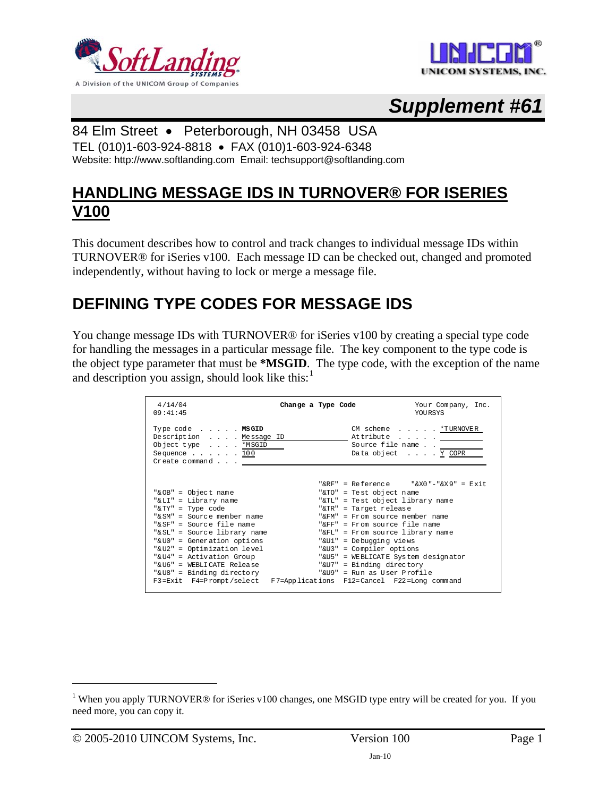



# *Supplement #61*

#### 84 Elm Street • Peterborough, NH 03458 USA

TEL (010)1-603-924-8818 • FAX (010)1-603-924-6348 Website: http://www.softlanding.com Email: techsupport@softlanding.com

#### **HANDLING MESSAGE IDS IN TURNOVER® FOR ISERIES V100**

This document describes how to control and track changes to individual message IDs within TURNOVER® for iSeries v100. Each message ID can be checked out, changed and promoted independently, without having to lock or merge a message file.

### **DEFINING TYPE CODES FOR MESSAGE IDS**

You change message IDs with TURNOVER® for iSeries v100 by creating a special type code for handling the messages in a particular message file. The key component to the type code is the object type parameter that must be **\*MSGID**. The type code, with the exception of the name and description you assign, should look like this: $<sup>1</sup>$  $<sup>1</sup>$  $<sup>1</sup>$ </sup>

| 4/14/04<br>09:41:45                                                                                                                         | Change a Type Code |                                                                                                         | Your Company, Inc.<br><b>YOURSYS</b> |
|---------------------------------------------------------------------------------------------------------------------------------------------|--------------------|---------------------------------------------------------------------------------------------------------|--------------------------------------|
| Type code MSGID<br>Description Message ID<br>Object type *MSGID<br>Sequence $\ldots$ $\ldots$ $\frac{100}{2}$<br>$Cr$ eate command $\ldots$ |                    | CM scheme <u>*TURNOVER</u><br>Attribute <u>_______</u><br>Source file name<br>Data object <u>Y</u> COPR |                                      |
|                                                                                                                                             |                    | "&RF" = Reference $\sqrt{X0}$ "-"&X9" = Exit                                                            |                                      |
| "& OB" = Object name                                                                                                                        |                    | "&TO" = Test object name                                                                                |                                      |
| "& LI" = Library name                                                                                                                       |                    | "&TL" = Test object library name                                                                        |                                      |
| "& TY" = Type code                                                                                                                          |                    | "&TR" = Target release                                                                                  |                                      |
| "& SM" = Source member name                                                                                                                 |                    | " $\&$ FM" = From source member name                                                                    |                                      |
| "& SF" = Source file name                                                                                                                   |                    | "&FF" = From source file name                                                                           |                                      |
| "& SL" = Source library name                                                                                                                |                    | "&FL" = From source library name                                                                        |                                      |
| "& UO" = Generation options                                                                                                                 |                    | "&U1" = Debugging views                                                                                 |                                      |
| "&U2" = Optimization level                                                                                                                  |                    | "&U3" = Compiler options                                                                                |                                      |
| "& U4" = Activation Group                                                                                                                   |                    | "&U5" = WEBLICATE System designator                                                                     |                                      |
| "& U6" = WEBLICATE Release                                                                                                                  |                    | "&U7" = Binding directory                                                                               |                                      |
| "&U8" = Binding directory                                                                                                                   |                    | "&U9" = Run as User Profile                                                                             |                                      |
| F3=Exit F4=Prompt/select F7=Applications F12=Cancel F22=Long command                                                                        |                    |                                                                                                         |                                      |

 $\overline{a}$ 

<span id="page-0-0"></span><sup>&</sup>lt;sup>1</sup> When you apply TURNOVER® for iSeries v100 changes, one MSGID type entry will be created for you. If you need more, you can copy it.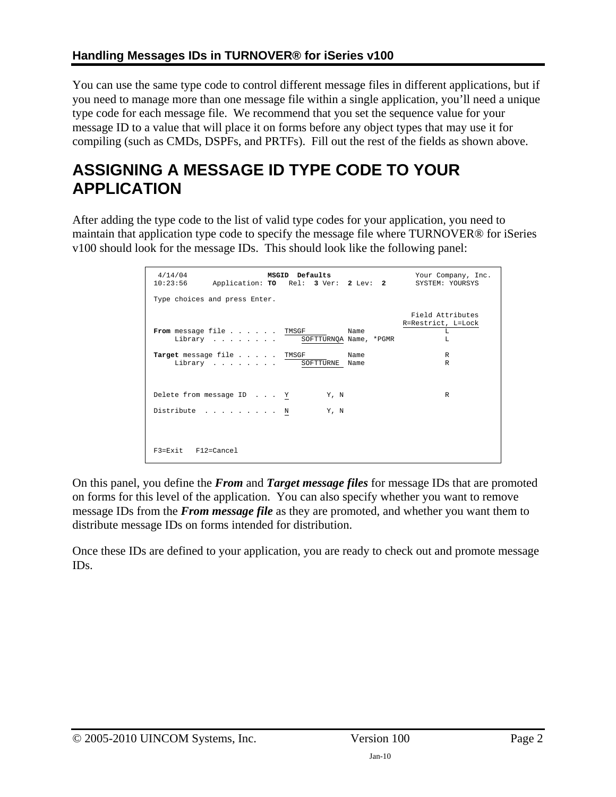You can use the same type code to control different message files in different applications, but if you need to manage more than one message file within a single application, you'll need a unique type code for each message file. We recommend that you set the sequence value for your message ID to a value that will place it on forms before any object types that may use it for compiling (such as CMDs, DSPFs, and PRTFs). Fill out the rest of the fields as shown above.

## **ASSIGNING A MESSAGE ID TYPE CODE TO YOUR APPLICATION**

After adding the type code to the list of valid type codes for your application, you need to maintain that application type code to specify the message file where TURNOVER® for iSeries v100 should look for the message IDs. This should look like the following panel:

| 4/14/04<br>MSGID Defaults<br>10:23:56<br>Application: TO Rel: 3 Ver: 2 Lev: 2 | Your Company, Inc.<br>SYSTEM: YOURSYS              |
|-------------------------------------------------------------------------------|----------------------------------------------------|
| Type choices and press Enter.                                                 |                                                    |
| From message file TMSGF<br>Name<br>Library SOFTTURNQA Name, *PGMR             | Field Attributes<br>R=Restrict, L=Lock<br>T.<br>T. |
| Target message file TMSGF<br>Name<br>Library SOFTTURNE Name                   | $\mathbb{R}$<br>R                                  |
| Delete from message ID Y<br>Y, N<br>Distribute N<br>Y, N                      | R                                                  |
| $F3 = Exit$ $F12 = Cance1$                                                    |                                                    |

On this panel, you define the *From* and *Target message files* for message IDs that are promoted on forms for this level of the application. You can also specify whether you want to remove message IDs from the *From message file* as they are promoted, and whether you want them to distribute message IDs on forms intended for distribution.

Once these IDs are defined to your application, you are ready to check out and promote message IDs.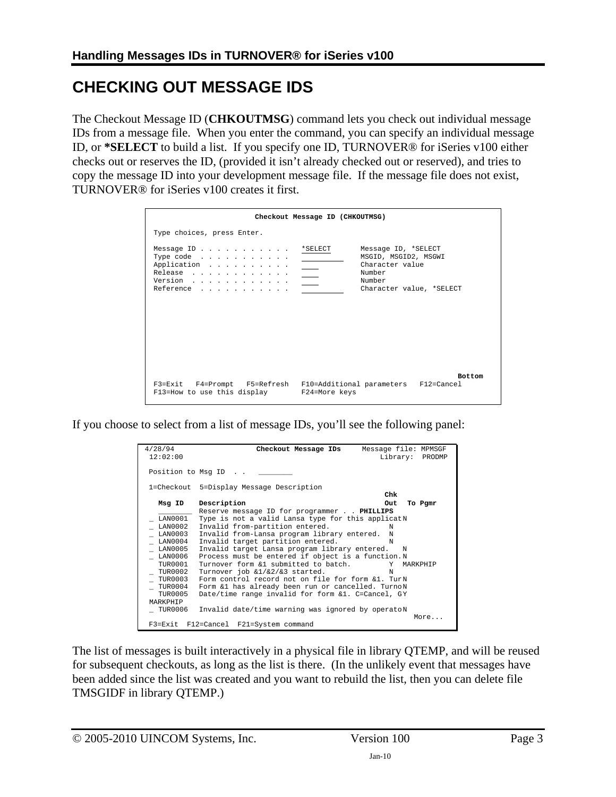### **CHECKING OUT MESSAGE IDS**

The Checkout Message ID (**CHKOUTMSG**) command lets you check out individual message IDs from a message file. When you enter the command, you can specify an individual message ID, or **\*SELECT** to build a list. If you specify one ID, TURNOVER® for iSeries v100 either checks out or reserves the ID, (provided it isn't already checked out or reserved), and tries to copy the message ID into your development message file. If the message file does not exist, TURNOVER® for iSeries v100 creates it first.

|                                                                                 | Checkout Message ID (CHKOUTMSG)                                                                                |
|---------------------------------------------------------------------------------|----------------------------------------------------------------------------------------------------------------|
| Type choices, press Enter.                                                      |                                                                                                                |
| Message ID *SELECT<br>Type code $\ldots$<br>Application<br>Release<br>Reference | Message ID, *SELECT<br>MSGID, MSGID2, MSGWI<br>Character value<br>Number<br>Number<br>Character value, *SELECT |
| F13=How to use this display F24=More keys                                       | <b>Bottom</b><br>F3=Exit F4=Prompt F5=Refresh F10=Additional parameters F12=Cancel                             |

If you choose to select from a list of message IDs, you'll see the following panel:

| 4/28/94<br>12:02:00                                                                                                          | Checkout Message IDs<br>Message file: MPMSGF                                                                                                                                                                                                                                                                                                                                                                                                                                                                                                                                                    | Library: PRODMP |
|------------------------------------------------------------------------------------------------------------------------------|-------------------------------------------------------------------------------------------------------------------------------------------------------------------------------------------------------------------------------------------------------------------------------------------------------------------------------------------------------------------------------------------------------------------------------------------------------------------------------------------------------------------------------------------------------------------------------------------------|-----------------|
|                                                                                                                              | Position to Msq ID                                                                                                                                                                                                                                                                                                                                                                                                                                                                                                                                                                              |                 |
|                                                                                                                              | 1=Checkout 5=Display Message Description                                                                                                                                                                                                                                                                                                                                                                                                                                                                                                                                                        |                 |
|                                                                                                                              | Chk                                                                                                                                                                                                                                                                                                                                                                                                                                                                                                                                                                                             |                 |
| Msg ID                                                                                                                       | Description<br>Out                                                                                                                                                                                                                                                                                                                                                                                                                                                                                                                                                                              | To Pgmr         |
| LAN0001<br>LAN0002<br>LAN0003<br>LAN0004<br>LAN0005<br>LAN0006<br>TUR0001<br>TUR0002<br><b>TUR0003</b><br>TUR0004<br>TUR0005 | Reserve message ID for programmer PHILLIPS<br>Type is not a valid Lansa type for this applicatN<br>Invalid from-partition entered.<br>N<br>Invalid from-Lansa program library entered.<br>N<br>Invalid target partition entered.<br>N<br>Invalid target Lansa program library entered.<br>N<br>Process must be entered if object is a function. N<br>Turnover form &1 submitted to batch.<br>Turnover job &1/&2/&3 started.<br>N<br>Form control record not on file for form &1. TurN<br>Form &1 has already been run or cancelled. TurnoN<br>Date/time range invalid for form &1. C=Cancel, GY | Y MARKPHIP      |
| MARKPHIP<br>TUR0006                                                                                                          | Invalid date/time warning was ignored by operatoN<br>F3=Exit F12=Cancel F21=System command                                                                                                                                                                                                                                                                                                                                                                                                                                                                                                      | More            |

The list of messages is built interactively in a physical file in library QTEMP, and will be reused for subsequent checkouts, as long as the list is there. (In the unlikely event that messages have been added since the list was created and you want to rebuild the list, then you can delete file TMSGIDF in library QTEMP.)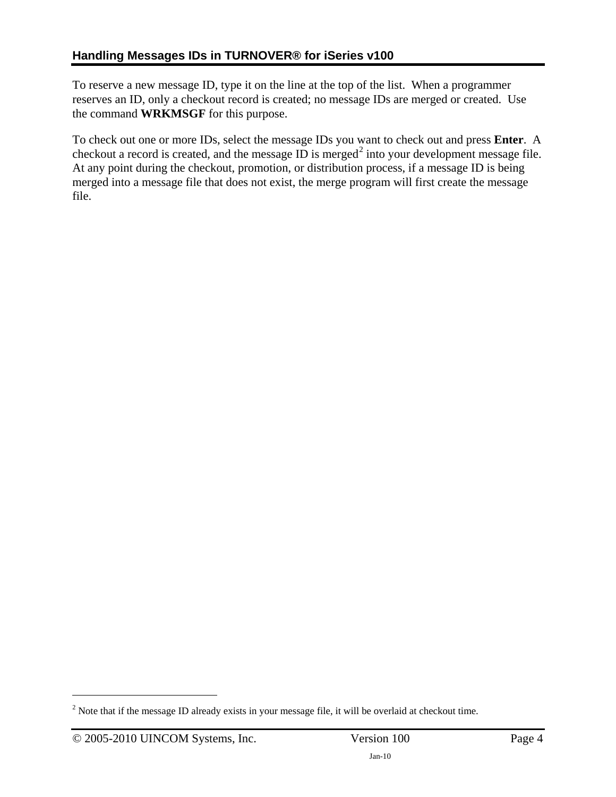To reserve a new message ID, type it on the line at the top of the list. When a programmer reserves an ID, only a checkout record is created; no message IDs are merged or created. Use the command **WRKMSGF** for this purpose.

To check out one or more IDs, select the message IDs you want to check out and press **Enter**. A checkout a record is created, and the message ID is merged<sup>[2](#page-3-0)</sup> into your development message file. At any point during the checkout, promotion, or distribution process, if a message ID is being merged into a message file that does not exist, the merge program will first create the message file.

<u>.</u>

<span id="page-3-0"></span> $2^{2}$  Note that if the message ID already exists in your message file, it will be overlaid at checkout time.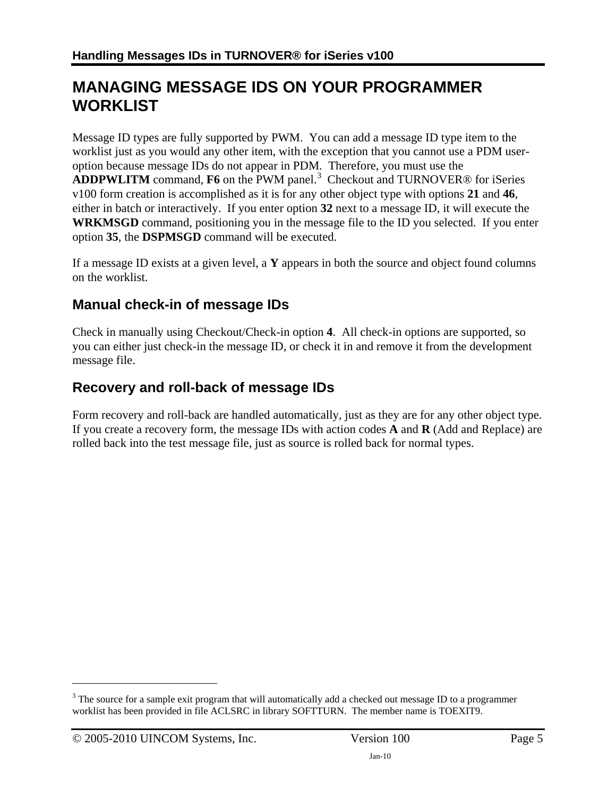### **MANAGING MESSAGE IDS ON YOUR PROGRAMMER WORKLIST**

Message ID types are fully supported by PWM. You can add a message ID type item to the worklist just as you would any other item, with the exception that you cannot use a PDM useroption because message IDs do not appear in PDM. Therefore, you must use the ADDPWLITM command, F6 on the PWM panel.<sup>[3](#page-4-0)</sup> Checkout and TURNOVER<sup>®</sup> for iSeries v100 form creation is accomplished as it is for any other object type with options **21** and **46**, either in batch or interactively. If you enter option **32** next to a message ID, it will execute the **WRKMSGD** command, positioning you in the message file to the ID you selected. If you enter option **35**, the **DSPMSGD** command will be executed.

If a message ID exists at a given level, a **Y** appears in both the source and object found columns on the worklist.

#### **Manual check-in of message IDs**

Check in manually using Checkout/Check-in option **4**. All check-in options are supported, so you can either just check-in the message ID, or check it in and remove it from the development message file.

#### **Recovery and roll-back of message IDs**

Form recovery and roll-back are handled automatically, just as they are for any other object type. If you create a recovery form, the message IDs with action codes **A** and **R** (Add and Replace) are rolled back into the test message file, just as source is rolled back for normal types.

 $\overline{a}$ 

<span id="page-4-0"></span> $3$  The source for a sample exit program that will automatically add a checked out message ID to a programmer worklist has been provided in file ACLSRC in library SOFTTURN. The member name is TOEXIT9.